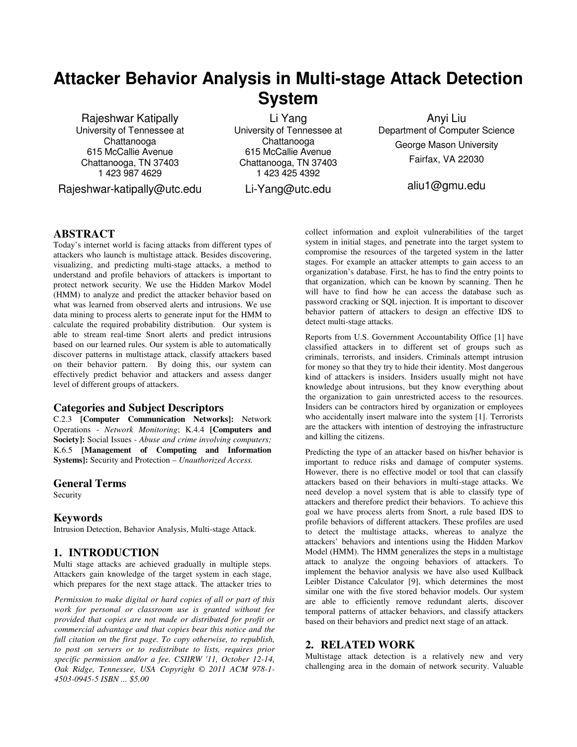# **Attacker Behavior Analysis in Multi-stage Attack Detection System**

Rajeshwar Katipally University of Tennessee at Chattanooga 615 McCallie Avenue Chattanooga, TN 37403 1 423 987 4629

Rajeshwar-katipally@utc.edu

Li Yang University of Tennessee at Chattanooga 615 McCallie Avenue Chattanooga, TN 37403 1 423 425 4392

Li-Yang@utc.edu

Anyi Liu Department of Computer Science George Mason University Fairfax, VA 22030

aliu1@gmu.edu

### **ABSTRACT**

Today's internet world is facing attacks from different types of attackers who launch is multistage attack. Besides discovering, visualizing, and predicting multi-stage attacks, a method to understand and profile behaviors of attackers is important to protect network security. We use the Hidden Markov Model (HMM) to analyze and predict the attacker behavior based on what was learned from observed alerts and intrusions. We use data mining to process alerts to generate input for the HMM to calculate the required probability distribution. Our system is able to stream real-time Snort alerts and predict intrusions based on our learned rules. Our system is able to automatically discover patterns in multistage attack, classify attackers based on their behavior pattern. By doing this, our system can effectively predict behavior and attackers and assess danger level of different groups of attackers.

### **Categories and Subject Descriptors**

C.2.3 **[Computer Communication Networks]:** Network Operations - *Network Monitoring*; K.4.4 **[Computers and Society]:** Social Issues - *Abuse and crime involving computers;* K.6.5 **[Management of Computing and Information Systems]:** Security and Protection – *Unauthorized Access.*

### **General Terms**

Security

#### **Keywords**

Intrusion Detection, Behavior Analysis, Multi-stage Attack.

### **1. INTRODUCTION**

Multi stage attacks are achieved gradually in multiple steps. Attackers gain knowledge of the target system in each stage, which prepares for the next stage attack. The attacker tries to

*Permission to make digital or hard copies of all or part of this work for personal or classroom use is granted without fee provided that copies are not made or distributed for profit or commercial advantage and that copies bear this notice and the full citation on the first page. To copy otherwise, to republish, to post on servers or to redistribute to lists, requires prior specific permission and/or a fee. CSIIRW '11, October 12-14, Oak Ridge, Tennessee, USA Copyright © 2011 ACM 978-1- 4503-0945-5 ISBN ... \$5.00*

collect information and exploit vulnerabilities of the target system in initial stages, and penetrate into the target system to compromise the resources of the targeted system in the latter stages. For example an attacker attempts to gain access to an organization's database. First, he has to find the entry points to that organization, which can be known by scanning. Then he will have to find how he can access the database such as password cracking or SQL injection. It is important to discover behavior pattern of attackers to design an effective IDS to detect multi-stage attacks.

Reports from U.S. Government Accountability Office [1] have classified attackers in to different set of groups such as criminals, terrorists, and insiders. Criminals attempt intrusion for money so that they try to hide their identity. Most dangerous kind of attackers is insiders. Insiders usually might not have knowledge about intrusions, but they know everything about the organization to gain unrestricted access to the resources. Insiders can be contractors hired by organization or employees who accidentally insert malware into the system [1]. Terrorists are the attackers with intention of destroying the infrastructure and killing the citizens.

Predicting the type of an attacker based on his/her behavior is important to reduce risks and damage of computer systems. However, there is no effective model or tool that can classify attackers based on their behaviors in multi-stage attacks. We need develop a novel system that is able to classify type of attackers and therefore predict their behaviors. To achieve this goal we have process alerts from Snort, a rule based IDS to profile behaviors of different attackers. These profiles are used to detect the multistage attacks, whereas to analyze the attackers' behaviors and intentions using the Hidden Markov Model (HMM). The HMM generalizes the steps in a multistage attack to analyze the ongoing behaviors of attackers. To implement the behavior analysis we have also used Kullback Leibler Distance Calculator [9], which determines the most similar one with the five stored behavior models. Our system are able to efficiently remove redundant alerts, discover temporal patterns of attacker behaviors, and classify attackers based on their behaviors and predict next stage of an attack.

### **2. RELATED WORK**

Multistage attack detection is a relatively new and very challenging area in the domain of network security. Valuable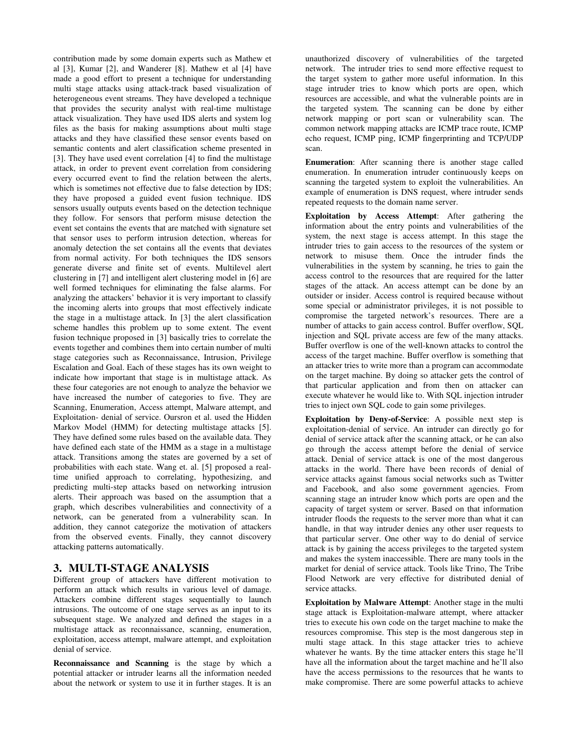contribution made by some domain experts such as Mathew et al [3], Kumar [2], and Wanderer [8]. Mathew et al [4] have made a good effort to present a technique for understanding multi stage attacks using attack-track based visualization of heterogeneous event streams. They have developed a technique that provides the security analyst with real-time multistage attack visualization. They have used IDS alerts and system log files as the basis for making assumptions about multi stage attacks and they have classified these sensor events based on semantic contents and alert classification scheme presented in [3]. They have used event correlation [4] to find the multistage attack, in order to prevent event correlation from considering every occurred event to find the relation between the alerts, which is sometimes not effective due to false detection by IDS; they have proposed a guided event fusion technique. IDS sensors usually outputs events based on the detection technique they follow. For sensors that perform misuse detection the event set contains the events that are matched with signature set that sensor uses to perform intrusion detection, whereas for anomaly detection the set contains all the events that deviates from normal activity. For both techniques the IDS sensors generate diverse and finite set of events. Multilevel alert clustering in [7] and intelligent alert clustering model in [6] are well formed techniques for eliminating the false alarms. For analyzing the attackers' behavior it is very important to classify the incoming alerts into groups that most effectively indicate the stage in a multistage attack. In [3] the alert classification scheme handles this problem up to some extent. The event fusion technique proposed in [3] basically tries to correlate the events together and combines them into certain number of multi stage categories such as Reconnaissance, Intrusion, Privilege Escalation and Goal. Each of these stages has its own weight to indicate how important that stage is in multistage attack. As these four categories are not enough to analyze the behavior we have increased the number of categories to five. They are Scanning, Enumeration, Access attempt, Malware attempt, and Exploitation- denial of service. Oursron et al. used the Hidden Markov Model (HMM) for detecting multistage attacks [5]. They have defined some rules based on the available data. They have defined each state of the HMM as a stage in a multistage attack. Transitions among the states are governed by a set of probabilities with each state. Wang et. al. [5] proposed a realtime unified approach to correlating, hypothesizing, and predicting multi-step attacks based on networking intrusion alerts. Their approach was based on the assumption that a graph, which describes vulnerabilities and connectivity of a network, can be generated from a vulnerability scan. In addition, they cannot categorize the motivation of attackers from the observed events. Finally, they cannot discovery attacking patterns automatically.

### **3. MULTI-STAGE ANALYSIS**

Different group of attackers have different motivation to perform an attack which results in various level of damage. Attackers combine different stages sequentially to launch intrusions. The outcome of one stage serves as an input to its subsequent stage. We analyzed and defined the stages in a multistage attack as reconnaissance, scanning, enumeration, exploitation, access attempt, malware attempt, and exploitation denial of service.

**Reconnaissance and Scanning** is the stage by which a potential attacker or intruder learns all the information needed about the network or system to use it in further stages. It is an

unauthorized discovery of vulnerabilities of the targeted network. The intruder tries to send more effective request to the target system to gather more useful information. In this stage intruder tries to know which ports are open, which resources are accessible, and what the vulnerable points are in the targeted system. The scanning can be done by either network mapping or port scan or vulnerability scan. The common network mapping attacks are ICMP trace route, ICMP echo request, ICMP ping, ICMP fingerprinting and TCP/UDP scan.

**Enumeration**: After scanning there is another stage called enumeration. In enumeration intruder continuously keeps on scanning the targeted system to exploit the vulnerabilities. An example of enumeration is DNS request, where intruder sends repeated requests to the domain name server.

**Exploitation by Access Attempt**: After gathering the information about the entry points and vulnerabilities of the system, the next stage is access attempt. In this stage the intruder tries to gain access to the resources of the system or network to misuse them. Once the intruder finds the vulnerabilities in the system by scanning, he tries to gain the access control to the resources that are required for the latter stages of the attack. An access attempt can be done by an outsider or insider. Access control is required because without some special or administrator privileges, it is not possible to compromise the targeted network's resources. There are a number of attacks to gain access control. Buffer overflow, SQL injection and SQL private access are few of the many attacks. Buffer overflow is one of the well-known attacks to control the access of the target machine. Buffer overflow is something that an attacker tries to write more than a program can accommodate on the target machine. By doing so attacker gets the control of that particular application and from then on attacker can execute whatever he would like to. With SQL injection intruder tries to inject own SQL code to gain some privileges.

**Exploitation by Deny-of-Service**: A possible next step is exploitation-denial of service. An intruder can directly go for denial of service attack after the scanning attack, or he can also go through the access attempt before the denial of service attack. Denial of service attack is one of the most dangerous attacks in the world. There have been records of denial of service attacks against famous social networks such as Twitter and Facebook, and also some government agencies. From scanning stage an intruder know which ports are open and the capacity of target system or server. Based on that information intruder floods the requests to the server more than what it can handle, in that way intruder denies any other user requests to that particular server. One other way to do denial of service attack is by gaining the access privileges to the targeted system and makes the system inaccessible. There are many tools in the market for denial of service attack. Tools like Trino, The Tribe Flood Network are very effective for distributed denial of service attacks.

**Exploitation by Malware Attempt**: Another stage in the multi stage attack is Exploitation-malware attempt, where attacker tries to execute his own code on the target machine to make the resources compromise. This step is the most dangerous step in multi stage attack. In this stage attacker tries to achieve whatever he wants. By the time attacker enters this stage he'll have all the information about the target machine and he'll also have the access permissions to the resources that he wants to make compromise. There are some powerful attacks to achieve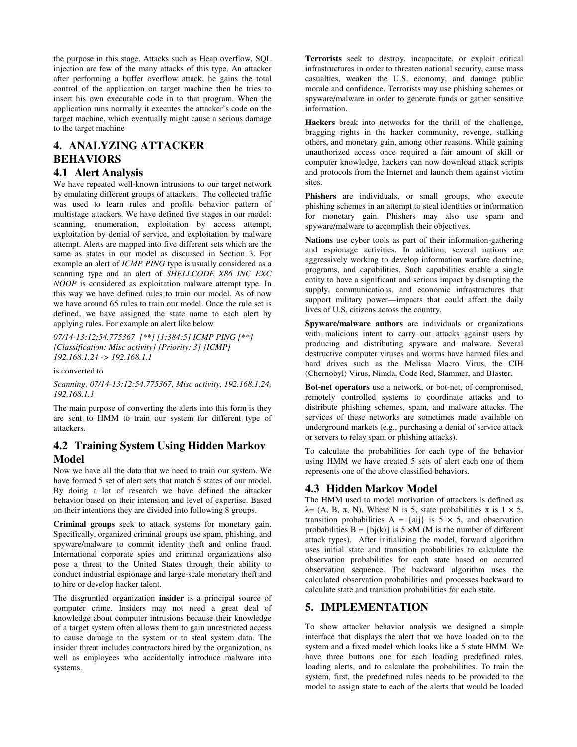the purpose in this stage. Attacks such as Heap overflow, SQL injection are few of the many attacks of this type. An attacker after performing a buffer overflow attack, he gains the total control of the application on target machine then he tries to insert his own executable code in to that program. When the application runs normally it executes the attacker's code on the target machine, which eventually might cause a serious damage to the target machine

# **4. ANALYZING ATTACKER BEHAVIORS**

# **4.1 Alert Analysis**

We have repeated well-known intrusions to our target network by emulating different groups of attackers. The collected traffic was used to learn rules and profile behavior pattern of multistage attackers. We have defined five stages in our model: scanning, enumeration, exploitation by access attempt, exploitation by denial of service, and exploitation by malware attempt. Alerts are mapped into five different sets which are the same as states in our model as discussed in Section 3. For example an alert of *ICMP PING* type is usually considered as a scanning type and an alert of *SHELLCODE X86 INC EXC NOOP* is considered as exploitation malware attempt type. In this way we have defined rules to train our model. As of now we have around 65 rules to train our model. Once the rule set is defined, we have assigned the state name to each alert by applying rules. For example an alert like below

*07/14-13:12:54.775367 [\*\*] [1:384:5] ICMP PING [\*\*] [Classification: Misc activity] [Priority: 3] {ICMP} 192.168.1.24 -> 192.168.1.1* 

is converted to

*Scanning, 07/14-13:12:54.775367, Misc activity, 192.168.1.24, 192.168.1.1* 

The main purpose of converting the alerts into this form is they are sent to HMM to train our system for different type of attackers.

## **4.2 Training System Using Hidden Markov Model**

Now we have all the data that we need to train our system. We have formed 5 set of alert sets that match 5 states of our model. By doing a lot of research we have defined the attacker behavior based on their intension and level of expertise. Based on their intentions they are divided into following 8 groups.

**Criminal groups** seek to attack systems for monetary gain. Specifically, organized criminal groups use spam, phishing, and spyware/malware to commit identity theft and online fraud. International corporate spies and criminal organizations also pose a threat to the United States through their ability to conduct industrial espionage and large-scale monetary theft and to hire or develop hacker talent.

The disgruntled organization **insider** is a principal source of computer crime. Insiders may not need a great deal of knowledge about computer intrusions because their knowledge of a target system often allows them to gain unrestricted access to cause damage to the system or to steal system data. The insider threat includes contractors hired by the organization, as well as employees who accidentally introduce malware into systems.

**Terrorists** seek to destroy, incapacitate, or exploit critical infrastructures in order to threaten national security, cause mass casualties, weaken the U.S. economy, and damage public morale and confidence. Terrorists may use phishing schemes or spyware/malware in order to generate funds or gather sensitive information.

**Hackers** break into networks for the thrill of the challenge, bragging rights in the hacker community, revenge, stalking others, and monetary gain, among other reasons. While gaining unauthorized access once required a fair amount of skill or computer knowledge, hackers can now download attack scripts and protocols from the Internet and launch them against victim sites.

**Phishers** are individuals, or small groups, who execute phishing schemes in an attempt to steal identities or information for monetary gain. Phishers may also use spam and spyware/malware to accomplish their objectives.

**Nations** use cyber tools as part of their information-gathering and espionage activities. In addition, several nations are aggressively working to develop information warfare doctrine, programs, and capabilities. Such capabilities enable a single entity to have a significant and serious impact by disrupting the supply, communications, and economic infrastructures that support military power—impacts that could affect the daily lives of U.S. citizens across the country.

**Spyware/malware authors** are individuals or organizations with malicious intent to carry out attacks against users by producing and distributing spyware and malware. Several destructive computer viruses and worms have harmed files and hard drives such as the Melissa Macro Virus, the CIH (Chernobyl) Virus, Nimda, Code Red, Slammer, and Blaster.

**Bot-net operators** use a network, or bot-net, of compromised, remotely controlled systems to coordinate attacks and to distribute phishing schemes, spam, and malware attacks. The services of these networks are sometimes made available on underground markets (e.g., purchasing a denial of service attack or servers to relay spam or phishing attacks).

To calculate the probabilities for each type of the behavior using HMM we have created 5 sets of alert each one of them represents one of the above classified behaviors.

# **4.3 Hidden Markov Model**

The HMM used to model motivation of attackers is defined as  $λ = (A, B, π, N)$ , Where N is 5, state probabilities π is 1 × 5, transition probabilities  $A = \{ai\}$  is  $5 \times 5$ , and observation probabilities  $B = \{bj(k)\}\$ is 5 ×M (M is the number of different attack types). After initializing the model, forward algorithm uses initial state and transition probabilities to calculate the observation probabilities for each state based on occurred observation sequence. The backward algorithm uses the calculated observation probabilities and processes backward to calculate state and transition probabilities for each state.

# **5. IMPLEMENTATION**

To show attacker behavior analysis we designed a simple interface that displays the alert that we have loaded on to the system and a fixed model which looks like a 5 state HMM. We have three buttons one for each loading predefined rules, loading alerts, and to calculate the probabilities. To train the system, first, the predefined rules needs to be provided to the model to assign state to each of the alerts that would be loaded